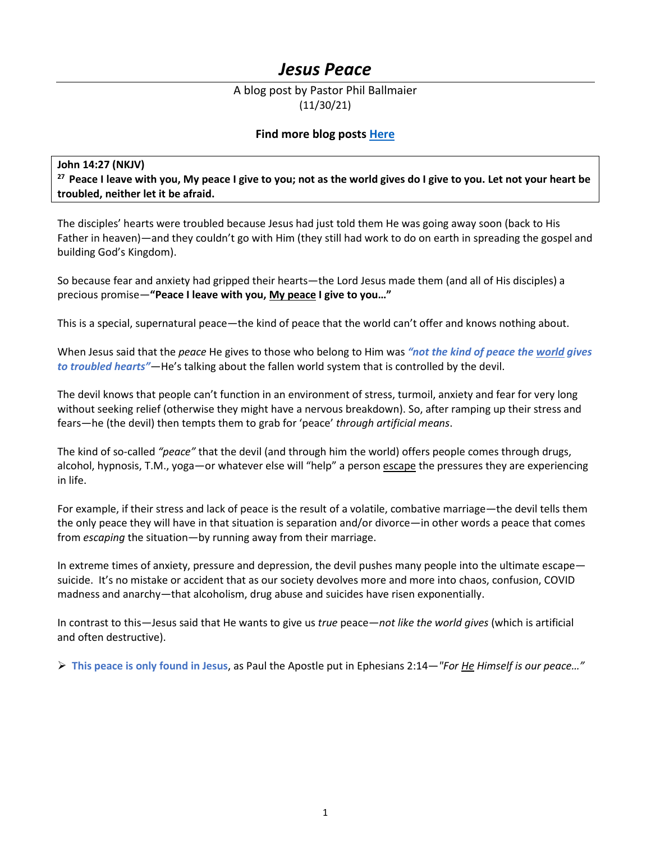# *Jesus Peace*

# A blog post by Pastor Phil Ballmaier (11/30/21)

# **Find more blog posts [Here](https://www.ccelkgrove.org/pastors-blog)**

## **John 14:27 (NKJV)**

**27 Peace I leave with you, My peace I give to you; not as the world gives do I give to you. Let not your heart be troubled, neither let it be afraid.** 

The disciples' hearts were troubled because Jesus had just told them He was going away soon (back to His Father in heaven)—and they couldn't go with Him (they still had work to do on earth in spreading the gospel and building God's Kingdom).

So because fear and anxiety had gripped their hearts—the Lord Jesus made them (and all of His disciples) a precious promise—**"Peace I leave with you, My peace I give to you…"**

This is a special, supernatural peace—the kind of peace that the world can't offer and knows nothing about.

When Jesus said that the *peace* He gives to those who belong to Him was *"not the kind of peace the world gives to troubled hearts"*—He's talking about the fallen world system that is controlled by the devil.

The devil knows that people can't function in an environment of stress, turmoil, anxiety and fear for very long without seeking relief (otherwise they might have a nervous breakdown). So, after ramping up their stress and fears—he (the devil) then tempts them to grab for 'peace' *through artificial means*.

The kind of so-called *"peace"* that the devil (and through him the world) offers people comes through drugs, alcohol, hypnosis, T.M., yoga—or whatever else will "help" a person escape the pressures they are experiencing in life.

For example, if their stress and lack of peace is the result of a volatile, combative marriage—the devil tells them the only peace they will have in that situation is separation and/or divorce—in other words a peace that comes from *escaping* the situation—by running away from their marriage.

In extreme times of anxiety, pressure and depression, the devil pushes many people into the ultimate escape suicide. It's no mistake or accident that as our society devolves more and more into chaos, confusion, COVID madness and anarchy—that alcoholism, drug abuse and suicides have risen exponentially.

In contrast to this—Jesus said that He wants to give us *true* peace—*not like the world gives* (which is artificial and often destructive).

**This peace is only found in Jesus**, as Paul the Apostle put in Ephesians 2:14—*"For He Himself is our peace…"*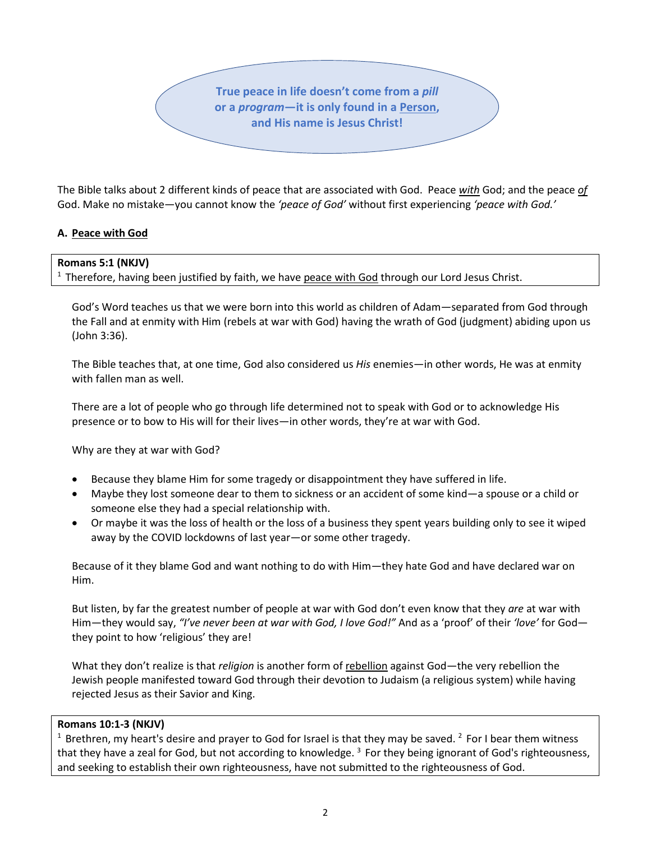**True peace in life doesn't come from a** *pill* **or a** *program***—it is only found in a Person, and His name is Jesus Christ!**

The Bible talks about 2 different kinds of peace that are associated with God. Peace *with* God; and the peace *of* God. Make no mistake—you cannot know the *'peace of God'* without first experiencing *'peace with God.'*

## **A. Peace with God**

#### **Romans 5:1 (NKJV)**

 $<sup>1</sup>$  Therefore, having been justified by faith, we have peace with God through our Lord Jesus Christ.</sup>

God's Word teaches us that we were born into this world as children of Adam—separated from God through the Fall and at enmity with Him (rebels at war with God) having the wrath of God (judgment) abiding upon us (John 3:36).

The Bible teaches that, at one time, God also considered us *His* enemies—in other words, He was at enmity with fallen man as well.

There are a lot of people who go through life determined not to speak with God or to acknowledge His presence or to bow to His will for their lives—in other words, they're at war with God.

Why are they at war with God?

- Because they blame Him for some tragedy or disappointment they have suffered in life.
- Maybe they lost someone dear to them to sickness or an accident of some kind—a spouse or a child or someone else they had a special relationship with.
- Or maybe it was the loss of health or the loss of a business they spent years building only to see it wiped away by the COVID lockdowns of last year—or some other tragedy.

Because of it they blame God and want nothing to do with Him—they hate God and have declared war on Him.

But listen, by far the greatest number of people at war with God don't even know that they *are* at war with Him—they would say, *"I've never been at war with God, I love God!"* And as a 'proof' of their *'love'* for God they point to how 'religious' they are!

What they don't realize is that *religion* is another form of rebellion against God—the very rebellion the Jewish people manifested toward God through their devotion to Judaism (a religious system) while having rejected Jesus as their Savior and King.

#### **Romans 10:1-3 (NKJV)**

<sup>1</sup> Brethren, my heart's desire and prayer to God for Israel is that they may be saved. <sup>2</sup> For I bear them witness that they have a zeal for God, but not according to knowledge.<sup>3</sup> For they being ignorant of God's righteousness, and seeking to establish their own righteousness, have not submitted to the righteousness of God.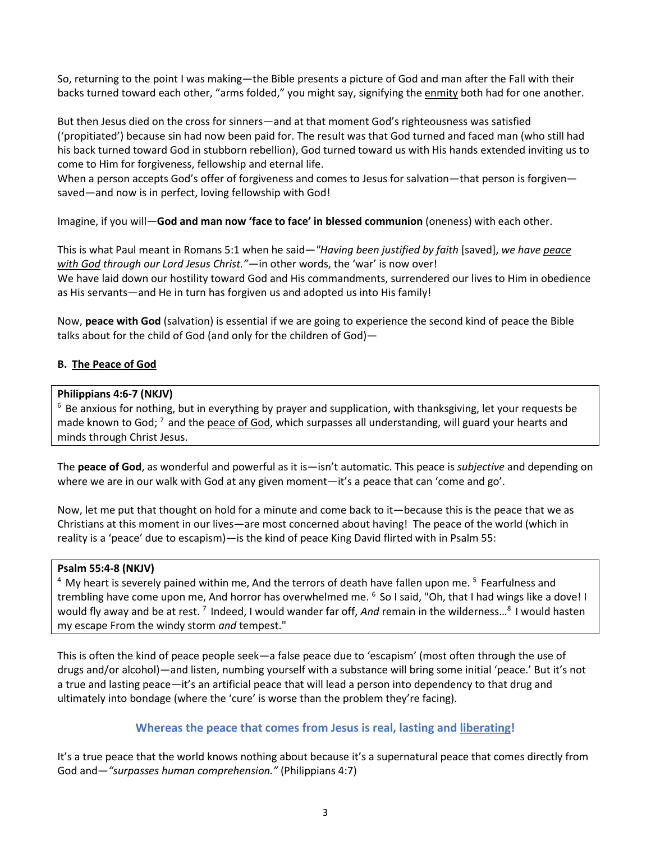So, returning to the point I was making—the Bible presents a picture of God and man after the Fall with their backs turned toward each other, "arms folded," you might say, signifying the enmity both had for one another.

But then Jesus died on the cross for sinners—and at that moment God's righteousness was satisfied ('propitiated') because sin had now been paid for. The result was that God turned and faced man (who still had his back turned toward God in stubborn rebellion), God turned toward us with His hands extended inviting us to come to Him for forgiveness, fellowship and eternal life.

When a person accepts God's offer of forgiveness and comes to Jesus for salvation—that person is forgiven saved—and now is in perfect, loving fellowship with God!

Imagine, if you will—**God and man now 'face to face' in blessed communion** (oneness) with each other.

This is what Paul meant in Romans 5:1 when he said—*"Having been justified by faith* [saved], *we have peace with God through our Lord Jesus Christ."*—in other words, the 'war' is now over! We have laid down our hostility toward God and His commandments, surrendered our lives to Him in obedience as His servants—and He in turn has forgiven us and adopted us into His family!

Now, **peace with God** (salvation) is essential if we are going to experience the second kind of peace the Bible talks about for the child of God (and only for the children of God)—

## **B. The Peace of God**

## **Philippians 4:6-7 (NKJV)**

<sup>6</sup> Be anxious for nothing, but in everything by prayer and supplication, with thanksgiving, let your requests be made known to God;  $^7$  and the peace of God, which surpasses all understanding, will guard your hearts and minds through Christ Jesus.

The **peace of God**, as wonderful and powerful as it is—isn't automatic. This peace is *subjective* and depending on where we are in our walk with God at any given moment—it's a peace that can 'come and go'.

Now, let me put that thought on hold for a minute and come back to it—because this is the peace that we as Christians at this moment in our lives—are most concerned about having! The peace of the world (which in reality is a 'peace' due to escapism)—is the kind of peace King David flirted with in Psalm 55:

## **Psalm 55:4-8 (NKJV)**

 $4\,$  My heart is severely pained within me, And the terrors of death have fallen upon me.  $5\,$  Fearfulness and trembling have come upon me, And horror has overwhelmed me. <sup>6</sup> So I said, "Oh, that I had wings like a dove! I would fly away and be at rest.<sup>7</sup> Indeed, I would wander far off, *And* remain in the wilderness...<sup>8</sup> I would hasten my escape From the windy storm *and* tempest."

This is often the kind of peace people seek—a false peace due to 'escapism' (most often through the use of drugs and/or alcohol)—and listen, numbing yourself with a substance will bring some initial 'peace.' But it's not a true and lasting peace—it's an artificial peace that will lead a person into dependency to that drug and ultimately into bondage (where the 'cure' is worse than the problem they're facing).

# **Whereas the peace that comes from Jesus is real, lasting and liberating!**

It's a true peace that the world knows nothing about because it's a supernatural peace that comes directly from God and—*"surpasses human comprehension."* (Philippians 4:7)